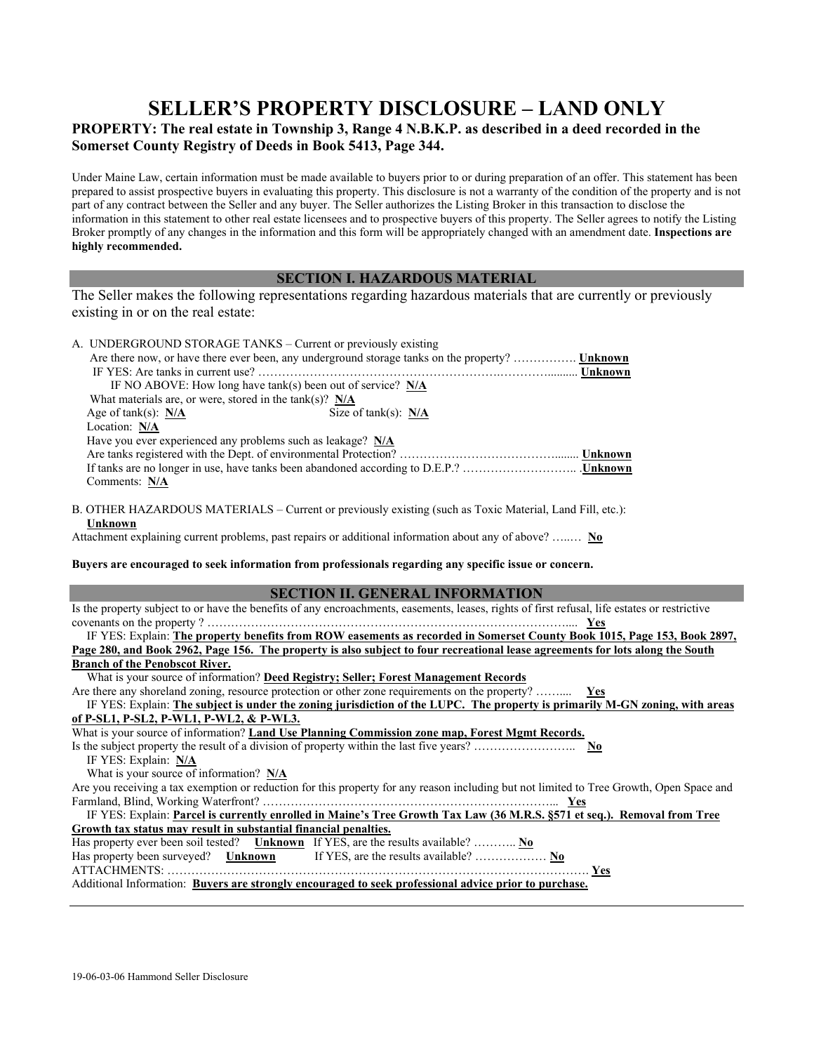## **SELLER'S PROPERTY DISCLOSURE – LAND ONLY**

## **PROPERTY: The real estate in Township 3, Range 4 N.B.K.P. as described in a deed recorded in the Somerset County Registry of Deeds in Book 5413, Page 344.**

Under Maine Law, certain information must be made available to buyers prior to or during preparation of an offer. This statement has been prepared to assist prospective buyers in evaluating this property. This disclosure is not a warranty of the condition of the property and is not part of any contract between the Seller and any buyer. The Seller authorizes the Listing Broker in this transaction to disclose the information in this statement to other real estate licensees and to prospective buyers of this property. The Seller agrees to notify the Listing Broker promptly of any changes in the information and this form will be appropriately changed with an amendment date. **Inspections are highly recommended.**

## **SECTION I. HAZARDOUS MATERIAL**

The Seller makes the following representations regarding hazardous materials that are currently or previously existing in or on the real estate:

| A. UNDERGROUND STORAGE TANKS - Current or previously existing                                                                            | Are there now, or have there ever been, any underground storage tanks on the property?  Unknown                                                                                                                                                            |  |
|------------------------------------------------------------------------------------------------------------------------------------------|------------------------------------------------------------------------------------------------------------------------------------------------------------------------------------------------------------------------------------------------------------|--|
|                                                                                                                                          |                                                                                                                                                                                                                                                            |  |
| IF NO ABOVE: How long have $tank(s)$ been out of service? $N/A$                                                                          |                                                                                                                                                                                                                                                            |  |
| What materials are, or were, stored in the tank(s)? $N/A$                                                                                |                                                                                                                                                                                                                                                            |  |
| Age of tank(s): $N/A$                                                                                                                    | Size of tank(s): $N/A$                                                                                                                                                                                                                                     |  |
| Location: N/A                                                                                                                            |                                                                                                                                                                                                                                                            |  |
| Have you ever experienced any problems such as leakage? N/A                                                                              |                                                                                                                                                                                                                                                            |  |
|                                                                                                                                          |                                                                                                                                                                                                                                                            |  |
| Comments: N/A                                                                                                                            |                                                                                                                                                                                                                                                            |  |
| Unknown                                                                                                                                  | B. OTHER HAZARDOUS MATERIALS – Current or previously existing (such as Toxic Material, Land Fill, etc.):                                                                                                                                                   |  |
|                                                                                                                                          | Attachment explaining current problems, past repairs or additional information about any of above?  No                                                                                                                                                     |  |
|                                                                                                                                          | Buyers are encouraged to seek information from professionals regarding any specific issue or concern.                                                                                                                                                      |  |
|                                                                                                                                          | <b>SECTION II. GENERAL INFORMATION</b>                                                                                                                                                                                                                     |  |
|                                                                                                                                          | Is the property subject to or have the benefits of any encroachments, easements, leases, rights of first refusal, life estates or restrictive                                                                                                              |  |
|                                                                                                                                          |                                                                                                                                                                                                                                                            |  |
|                                                                                                                                          | IF YES: Explain: The property benefits from ROW easements as recorded in Somerset County Book 1015, Page 153, Book 2897,<br>Page 280, and Book 2962, Page 156. The property is also subject to four recreational lease agreements for lots along the South |  |
| <b>Branch of the Penobscot River.</b>                                                                                                    |                                                                                                                                                                                                                                                            |  |
|                                                                                                                                          | What is your source of information? Deed Registry; Seller; Forest Management Records                                                                                                                                                                       |  |
| Are there any shoreland zoning, resource protection or other zone requirements on the property?  Yes                                     |                                                                                                                                                                                                                                                            |  |
| IF YES: Explain: The subject is under the zoning jurisdiction of the LUPC. The property is primarily M-GN zoning, with areas             |                                                                                                                                                                                                                                                            |  |
| of P-SL1, P-SL2, P-WL1, P-WL2, & P-WL3.                                                                                                  |                                                                                                                                                                                                                                                            |  |
|                                                                                                                                          | What is your source of information? Land Use Planning Commission zone map, Forest Mgmt Records.                                                                                                                                                            |  |
| IF YES: Explain: N/A                                                                                                                     |                                                                                                                                                                                                                                                            |  |
| What is your source of information? N/A                                                                                                  |                                                                                                                                                                                                                                                            |  |
|                                                                                                                                          |                                                                                                                                                                                                                                                            |  |
| Are you receiving a tax exemption or reduction for this property for any reason including but not limited to Tree Growth, Open Space and |                                                                                                                                                                                                                                                            |  |
|                                                                                                                                          | IF YES: Explain: Parcel is currently enrolled in Maine's Tree Growth Tax Law (36 M.R.S. §571 et seq.). Removal from Tree                                                                                                                                   |  |
| Growth tax status may result in substantial financial penalties.                                                                         |                                                                                                                                                                                                                                                            |  |
|                                                                                                                                          |                                                                                                                                                                                                                                                            |  |
| Has property ever been soil tested? Unknown If YES, are the results available?  No                                                       |                                                                                                                                                                                                                                                            |  |
|                                                                                                                                          |                                                                                                                                                                                                                                                            |  |
|                                                                                                                                          | Additional Information: Buyers are strongly encouraged to seek professional advice prior to purchase.                                                                                                                                                      |  |
|                                                                                                                                          |                                                                                                                                                                                                                                                            |  |